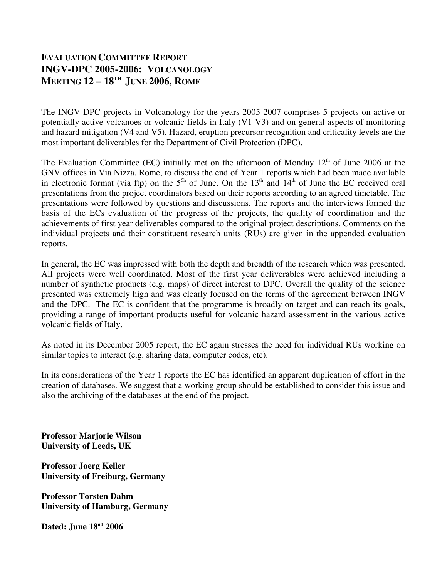## **EVALUATION COMMITTEE REPORT INGV-DPC 2005-2006: VOLCANOLOGY MEETING 12 – 18TH JUNE 2006, ROME**

The INGV-DPC projects in Volcanology for the years 2005-2007 comprises 5 projects on active or potentially active volcanoes or volcanic fields in Italy (V1-V3) and on general aspects of monitoring and hazard mitigation (V4 and V5). Hazard, eruption precursor recognition and criticality levels are the most important deliverables for the Department of Civil Protection (DPC).

The Evaluation Committee (EC) initially met on the afternoon of Monday  $12<sup>th</sup>$  of June 2006 at the GNV offices in Via Nizza, Rome, to discuss the end of Year 1 reports which had been made available in electronic format (via ftp) on the  $5<sup>5h</sup>$  of June. On the  $13<sup>th</sup>$  and  $14<sup>th</sup>$  of June the EC received oral presentations from the project coordinators based on their reports according to an agreed timetable. The presentations were followed by questions and discussions. The reports and the interviews formed the basis of the ECs evaluation of the progress of the projects, the quality of coordination and the achievements of first year deliverables compared to the original project descriptions. Comments on the individual projects and their constituent research units (RUs) are given in the appended evaluation reports.

In general, the EC was impressed with both the depth and breadth of the research which was presented. All projects were well coordinated. Most of the first year deliverables were achieved including a number of synthetic products (e.g. maps) of direct interest to DPC. Overall the quality of the science presented was extremely high and was clearly focused on the terms of the agreement between INGV and the DPC. The EC is confident that the programme is broadly on target and can reach its goals, providing a range of important products useful for volcanic hazard assessment in the various active volcanic fields of Italy.

As noted in its December 2005 report, the EC again stresses the need for individual RUs working on similar topics to interact (e.g. sharing data, computer codes, etc).

In its considerations of the Year 1 reports the EC has identified an apparent duplication of effort in the creation of databases. We suggest that a working group should be established to consider this issue and also the archiving of the databases at the end of the project.

**Professor Marjorie Wilson University of Leeds, UK**

**Professor Joerg Keller University of Freiburg, Germany**

**Professor Torsten Dahm University of Hamburg, Germany**

**Dated: June 18nd 2006**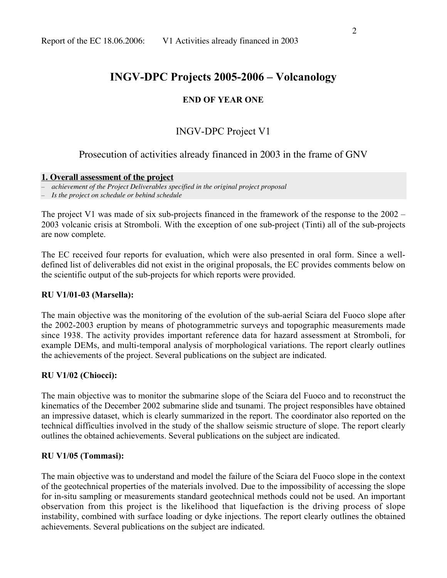## **END OF YEAR ONE**

# INGV-DPC Project V1

## Prosecution of activities already financed in 2003 in the frame of GNV

#### **1. Overall assessment of the project**

– *achievement of the Project Deliverables specified in the original project proposal*

– *Is the project on schedule or behind schedule*

The project V1 was made of six sub-projects financed in the framework of the response to the 2002 – 2003 volcanic crisis at Stromboli. With the exception of one sub-project (Tinti) all of the sub-projects are now complete.

The EC received four reports for evaluation, which were also presented in oral form. Since a welldefined list of deliverables did not exist in the original proposals, the EC provides comments below on the scientific output of the sub-projects for which reports were provided.

### **RU V1/01-03 (Marsella):**

The main objective was the monitoring of the evolution of the sub-aerial Sciara del Fuoco slope after the 2002-2003 eruption by means of photogrammetric surveys and topographic measurements made since 1938. The activity provides important reference data for hazard assessment at Stromboli, for example DEMs, and multi-temporal analysis of morphological variations. The report clearly outlines the achievements of the project. Several publications on the subject are indicated.

## **RU V1/02 (Chiocci):**

The main objective was to monitor the submarine slope of the Sciara del Fuoco and to reconstruct the kinematics of the December 2002 submarine slide and tsunami. The project responsibles have obtained an impressive dataset, which is clearly summarized in the report. The coordinator also reported on the technical difficulties involved in the study of the shallow seismic structure of slope. The report clearly outlines the obtained achievements. Several publications on the subject are indicated.

## **RU V1/05 (Tommasi):**

The main objective was to understand and model the failure of the Sciara del Fuoco slope in the context of the geotechnical properties of the materials involved. Due to the impossibility of accessing the slope for in-situ sampling or measurements standard geotechnical methods could not be used. An important observation from this project is the likelihood that liquefaction is the driving process of slope instability, combined with surface loading or dyke injections. The report clearly outlines the obtained achievements. Several publications on the subject are indicated.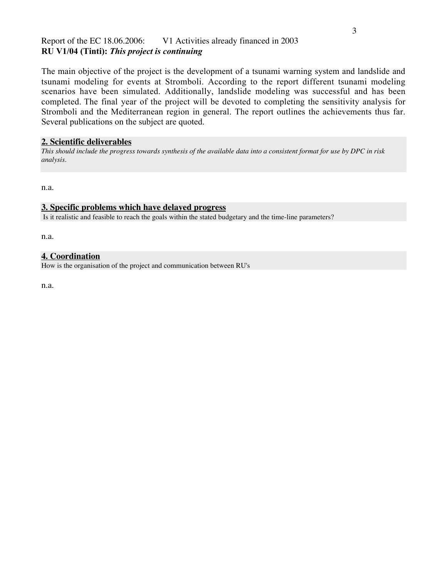### Report of the EC 18.06.2006: V1 Activities already financed in 2003 **RU V1/04 (Tinti):** *This project is continuing*

The main objective of the project is the development of a tsunami warning system and landslide and tsunami modeling for events at Stromboli. According to the report different tsunami modeling scenarios have been simulated. Additionally, landslide modeling was successful and has been completed. The final year of the project will be devoted to completing the sensitivity analysis for Stromboli and the Mediterranean region in general. The report outlines the achievements thus far. Several publications on the subject are quoted.

### **2. Scientific deliverables**

*This should include the progress towards synthesis of the available data into a consistent format for use by DPC in risk analysis.*

n.a.

#### **3. Specific problems which have delayed progress**

Is it realistic and feasible to reach the goals within the stated budgetary and the time-line parameters?

n.a.

### **4. Coordination**

How is the organisation of the project and communication between RU's

n.a.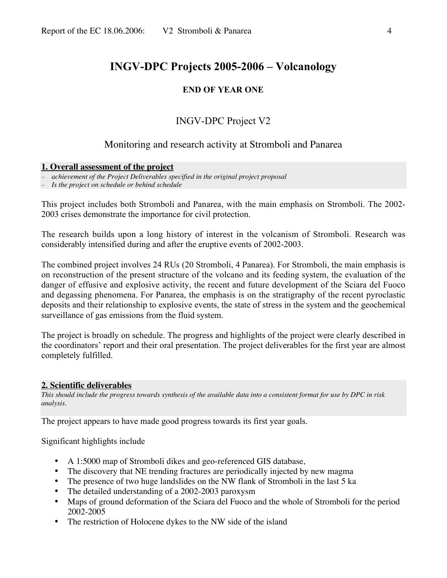### **END OF YEAR ONE**

## INGV-DPC Project V2

## Monitoring and research activity at Stromboli and Panarea

#### **1. Overall assessment of the project**

– *achievement of the Project Deliverables specified in the original project proposal*

– *Is the project on schedule or behind schedule*

This project includes both Stromboli and Panarea, with the main emphasis on Stromboli. The 2002- 2003 crises demonstrate the importance for civil protection.

The research builds upon a long history of interest in the volcanism of Stromboli. Research was considerably intensified during and after the eruptive events of 2002-2003.

The combined project involves 24 RUs (20 Stromboli, 4 Panarea). For Stromboli, the main emphasis is on reconstruction of the present structure of the volcano and its feeding system, the evaluation of the danger of effusive and explosive activity, the recent and future development of the Sciara del Fuoco and degassing phenomena. For Panarea, the emphasis is on the stratigraphy of the recent pyroclastic deposits and their relationship to explosive events, the state of stress in the system and the geochemical surveillance of gas emissions from the fluid system.

The project is broadly on schedule. The progress and highlights of the project were clearly described in the coordinators' report and their oral presentation. The project deliverables for the first year are almost completely fulfilled.

#### **2. Scientific deliverables**

*This should include the progress towards synthesis of the available data into a consistent format for use by DPC in risk analysis.*

The project appears to have made good progress towards its first year goals.

Significant highlights include

- A 1:5000 map of Stromboli dikes and geo-referenced GIS database,
- The discovery that NE trending fractures are periodically injected by new magma
- The presence of two huge landslides on the NW flank of Stromboli in the last 5 ka
- The detailed understanding of a 2002-2003 paroxysm
- Maps of ground deformation of the Sciara del Fuoco and the whole of Stromboli for the period 2002-2005
- The restriction of Holocene dykes to the NW side of the island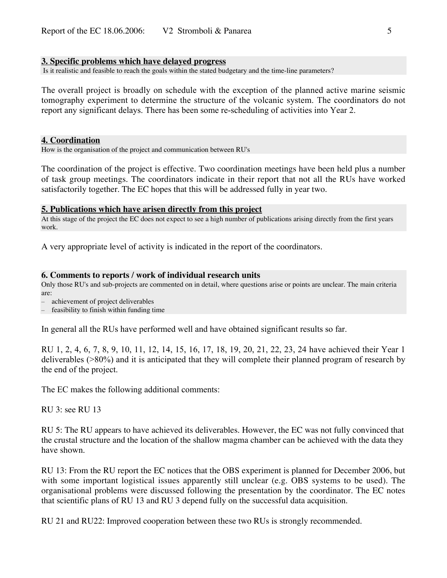#### **3. Specific problems which have delayed progress**

Is it realistic and feasible to reach the goals within the stated budgetary and the time-line parameters?

The overall project is broadly on schedule with the exception of the planned active marine seismic tomography experiment to determine the structure of the volcanic system. The coordinators do not report any significant delays. There has been some re-scheduling of activities into Year 2.

#### **4. Coordination**

How is the organisation of the project and communication between RU's

The coordination of the project is effective. Two coordination meetings have been held plus a number of task group meetings. The coordinators indicate in their report that not all the RUs have worked satisfactorily together. The EC hopes that this will be addressed fully in year two.

#### **5. Publications which have arisen directly from this project**

At this stage of the project the EC does not expect to see a high number of publications arising directly from the first years work.

A very appropriate level of activity is indicated in the report of the coordinators.

#### **6. Comments to reports / work of individual research units**

Only those RU's and sub-projects are commented on in detail, where questions arise or points are unclear. The main criteria are:

– achievement of project deliverables

feasibility to finish within funding time

In general all the RUs have performed well and have obtained significant results so far.

RU 1, 2, 4, 6, 7, 8, 9, 10, 11, 12, 14, 15, 16, 17, 18, 19, 20, 21, 22, 23, 24 have achieved their Year 1 deliverables (>80%) and it is anticipated that they will complete their planned program of research by the end of the project.

The EC makes the following additional comments:

RU 3: see RU 13

RU 5: The RU appears to have achieved its deliverables. However, the EC was not fully convinced that the crustal structure and the location of the shallow magma chamber can be achieved with the data they have shown.

RU 13: From the RU report the EC notices that the OBS experiment is planned for December 2006, but with some important logistical issues apparently still unclear (e.g. OBS systems to be used). The organisational problems were discussed following the presentation by the coordinator. The EC notes that scientific plans of RU 13 and RU 3 depend fully on the successful data acquisition.

RU 21 and RU22: Improved cooperation between these two RUs is strongly recommended.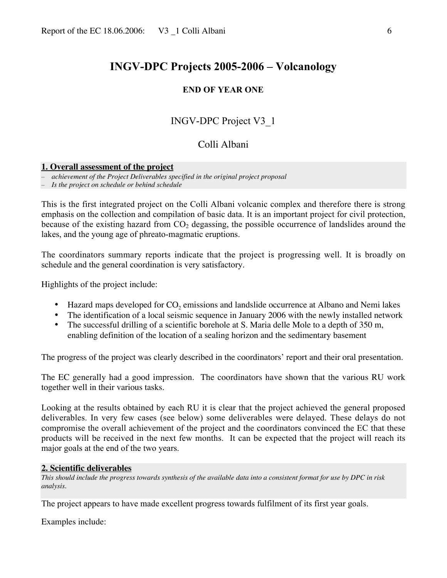#### **END OF YEAR ONE**

## INGV-DPC Project V3\_1

## Colli Albani

#### **1. Overall assessment of the project**

– *achievement of the Project Deliverables specified in the original project proposal*

– *Is the project on schedule or behind schedule*

This is the first integrated project on the Colli Albani volcanic complex and therefore there is strong emphasis on the collection and compilation of basic data. It is an important project for civil protection, because of the existing hazard from  $CO<sub>2</sub>$  degassing, the possible occurrence of landslides around the lakes, and the young age of phreato-magmatic eruptions.

The coordinators summary reports indicate that the project is progressing well. It is broadly on schedule and the general coordination is very satisfactory.

Highlights of the project include:

- Hazard maps developed for  $CO<sub>2</sub>$  emissions and landslide occurrence at Albano and Nemi lakes
- The identification of a local seismic sequence in January 2006 with the newly installed network
- The successful drilling of a scientific borehole at S. Maria delle Mole to a depth of 350 m, enabling definition of the location of a sealing horizon and the sedimentary basement

The progress of the project was clearly described in the coordinators' report and their oral presentation.

The EC generally had a good impression. The coordinators have shown that the various RU work together well in their various tasks.

Looking at the results obtained by each RU it is clear that the project achieved the general proposed deliverables. In very few cases (see below) some deliverables were delayed. These delays do not compromise the overall achievement of the project and the coordinators convinced the EC that these products will be received in the next few months. It can be expected that the project will reach its major goals at the end of the two years.

#### **2. Scientific deliverables**

*This should include the progress towards synthesis of the available data into a consistent format for use by DPC in risk analysis.*

The project appears to have made excellent progress towards fulfilment of its first year goals.

Examples include: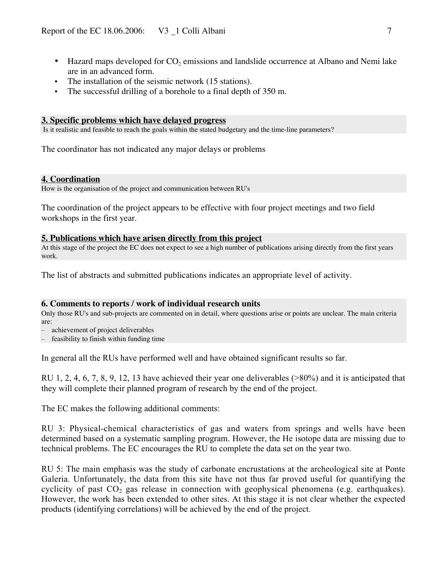- Hazard maps developed for CO<sub>2</sub> emissions and landslide occurrence at Albano and Nemi lake are in an advanced form.
- The installation of the seismic network (15 stations).
- The successful drilling of a borehole to a final depth of 350 m.

#### **3. Specific problems which have delayed progress**

Is it realistic and feasible to reach the goals within the stated budgetary and the time-line parameters?

The coordinator has not indicated any major delays or problems

#### **4. Coordination**

How is the organisation of the project and communication between RU's

The coordination of the project appears to be effective with four project meetings and two field workshops in the first year.

#### **5. Publications which have arisen directly from this project**

At this stage of the project the EC does not expect to see a high number of publications arising directly from the first years work.

The list of abstracts and submitted publications indicates an appropriate level of activity.

#### **6. Comments to reports / work of individual research units**

Only those RU's and sub-projects are commented on in detail, where questions arise or points are unclear. The main criteria are:

– achievement of project deliverables

feasibility to finish within funding time

In general all the RUs have performed well and have obtained significant results so far.

RU 1, 2, 4, 6, 7, 8, 9, 12, 13 have achieved their year one deliverables (>80%) and it is anticipated that they will complete their planned program of research by the end of the project.

The EC makes the following additional comments:

RU 3: Physical-chemical characteristics of gas and waters from springs and wells have been determined based on a systematic sampling program. However, the He isotope data are missing due to technical problems. The EC encourages the RU to complete the data set on the year two.

RU 5: The main emphasis was the study of carbonate encrustations at the archeological site at Ponte Galeria. Unfortunately, the data from this site have not thus far proved useful for quantifying the cyclicity of past  $CO<sub>2</sub>$  gas release in connection with geophysical phenomena (e.g. earthquakes). However, the work has been extended to other sites. At this stage it is not clear whether the expected products (identifying correlations) will be achieved by the end of the project.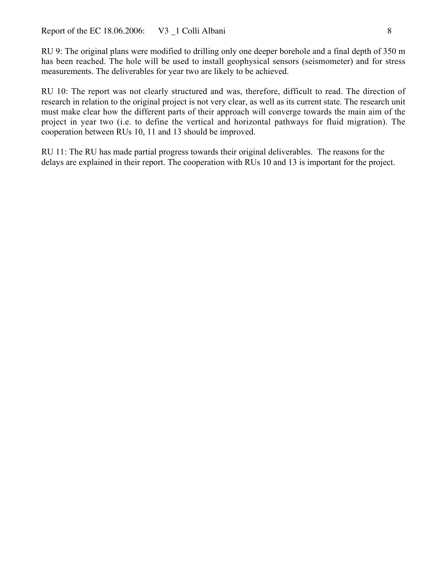RU 9: The original plans were modified to drilling only one deeper borehole and a final depth of 350 m has been reached. The hole will be used to install geophysical sensors (seismometer) and for stress measurements. The deliverables for year two are likely to be achieved.

RU 10: The report was not clearly structured and was, therefore, difficult to read. The direction of research in relation to the original project is not very clear, as well as its current state. The research unit must make clear how the different parts of their approach will converge towards the main aim of the project in year two (i.e. to define the vertical and horizontal pathways for fluid migration). The cooperation between RUs 10, 11 and 13 should be improved.

RU 11: The RU has made partial progress towards their original deliverables. The reasons for the delays are explained in their report. The cooperation with RUs 10 and 13 is important for the project.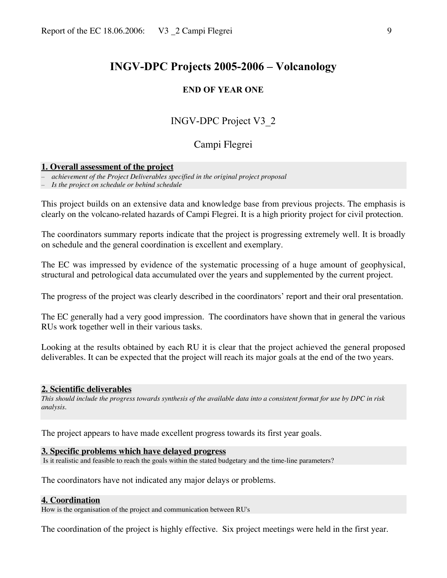#### **END OF YEAR ONE**

## INGV-DPC Project V3\_2

## Campi Flegrei

#### **1. Overall assessment of the project**

– *achievement of the Project Deliverables specified in the original project proposal*

– *Is the project on schedule or behind schedule*

This project builds on an extensive data and knowledge base from previous projects. The emphasis is clearly on the volcano-related hazards of Campi Flegrei. It is a high priority project for civil protection.

The coordinators summary reports indicate that the project is progressing extremely well. It is broadly on schedule and the general coordination is excellent and exemplary.

The EC was impressed by evidence of the systematic processing of a huge amount of geophysical, structural and petrological data accumulated over the years and supplemented by the current project.

The progress of the project was clearly described in the coordinators' report and their oral presentation.

The EC generally had a very good impression. The coordinators have shown that in general the various RUs work together well in their various tasks.

Looking at the results obtained by each RU it is clear that the project achieved the general proposed deliverables. It can be expected that the project will reach its major goals at the end of the two years.

#### **2. Scientific deliverables**

*This should include the progress towards synthesis of the available data into a consistent format for use by DPC in risk analysis.*

The project appears to have made excellent progress towards its first year goals.

#### **3. Specific problems which have delayed progress**

Is it realistic and feasible to reach the goals within the stated budgetary and the time-line parameters?

The coordinators have not indicated any major delays or problems.

#### **4. Coordination**

How is the organisation of the project and communication between RU's

The coordination of the project is highly effective. Six project meetings were held in the first year.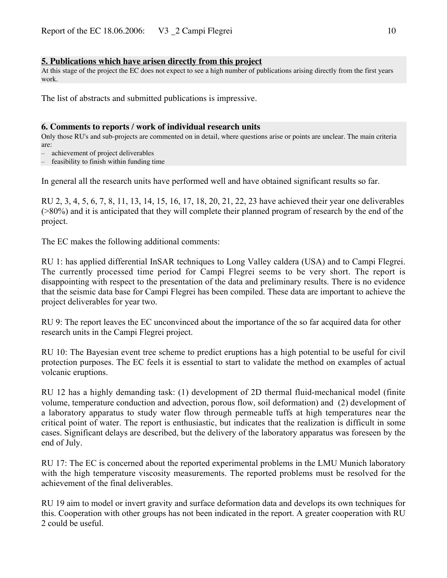#### **5. Publications which have arisen directly from this project**

At this stage of the project the EC does not expect to see a high number of publications arising directly from the first years work.

The list of abstracts and submitted publications is impressive.

#### **6. Comments to reports / work of individual research units**

Only those RU's and sub-projects are commented on in detail, where questions arise or points are unclear. The main criteria are:

– achievement of project deliverables

– feasibility to finish within funding time

In general all the research units have performed well and have obtained significant results so far.

RU 2, 3, 4, 5, 6, 7, 8, 11, 13, 14, 15, 16, 17, 18, 20, 21, 22, 23 have achieved their year one deliverables (>80%) and it is anticipated that they will complete their planned program of research by the end of the project.

The EC makes the following additional comments:

RU 1: has applied differential InSAR techniques to Long Valley caldera (USA) and to Campi Flegrei. The currently processed time period for Campi Flegrei seems to be very short. The report is disappointing with respect to the presentation of the data and preliminary results. There is no evidence that the seismic data base for Campi Flegrei has been compiled. These data are important to achieve the project deliverables for year two.

RU 9: The report leaves the EC unconvinced about the importance of the so far acquired data for other research units in the Campi Flegrei project.

RU 10: The Bayesian event tree scheme to predict eruptions has a high potential to be useful for civil protection purposes. The EC feels it is essential to start to validate the method on examples of actual volcanic eruptions.

RU 12 has a highly demanding task: (1) development of 2D thermal fluid-mechanical model (finite volume, temperature conduction and advection, porous flow, soil deformation) and (2) development of a laboratory apparatus to study water flow through permeable tuffs at high temperatures near the critical point of water. The report is enthusiastic, but indicates that the realization is difficult in some cases. Significant delays are described, but the delivery of the laboratory apparatus was foreseen by the end of July.

RU 17: The EC is concerned about the reported experimental problems in the LMU Munich laboratory with the high temperature viscosity measurements. The reported problems must be resolved for the achievement of the final deliverables.

RU 19 aim to model or invert gravity and surface deformation data and develops its own techniques for this. Cooperation with other groups has not been indicated in the report. A greater cooperation with RU 2 could be useful.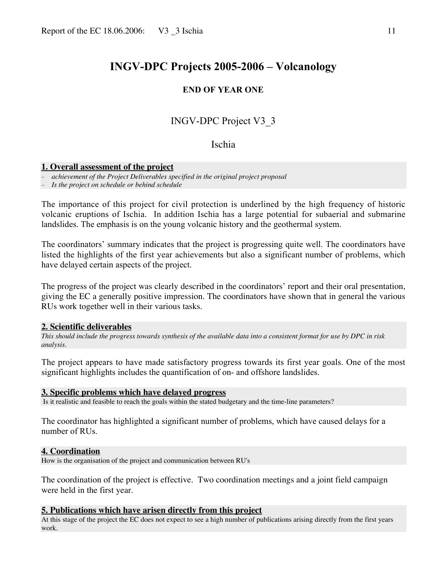#### **END OF YEAR ONE**

## INGV-DPC Project V3\_3

### Ischia

#### **1. Overall assessment of the project**

– *achievement of the Project Deliverables specified in the original project proposal*

– *Is the project on schedule or behind schedule*

The importance of this project for civil protection is underlined by the high frequency of historic volcanic eruptions of Ischia. In addition Ischia has a large potential for subaerial and submarine landslides. The emphasis is on the young volcanic history and the geothermal system.

The coordinators' summary indicates that the project is progressing quite well. The coordinators have listed the highlights of the first year achievements but also a significant number of problems, which have delayed certain aspects of the project.

The progress of the project was clearly described in the coordinators' report and their oral presentation, giving the EC a generally positive impression. The coordinators have shown that in general the various RUs work together well in their various tasks.

#### **2. Scientific deliverables**

*This should include the progress towards synthesis of the available data into a consistent format for use by DPC in risk analysis.*

The project appears to have made satisfactory progress towards its first year goals. One of the most significant highlights includes the quantification of on- and offshore landslides.

#### **3. Specific problems which have delayed progress**

Is it realistic and feasible to reach the goals within the stated budgetary and the time-line parameters?

The coordinator has highlighted a significant number of problems, which have caused delays for a number of RUs.

#### **4. Coordination**

How is the organisation of the project and communication between RU's

The coordination of the project is effective. Two coordination meetings and a joint field campaign were held in the first year.

#### **5. Publications which have arisen directly from this project**

At this stage of the project the EC does not expect to see a high number of publications arising directly from the first years work.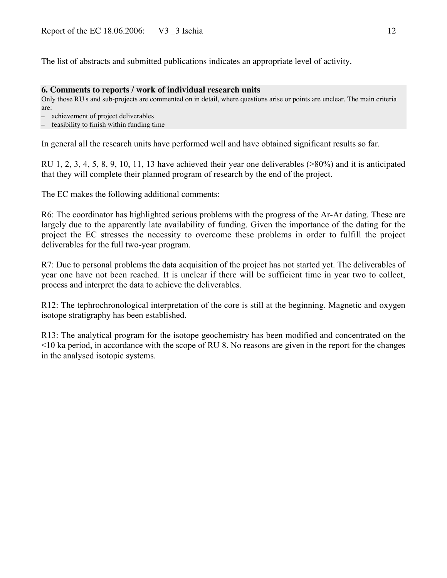The list of abstracts and submitted publications indicates an appropriate level of activity.

#### **6. Comments to reports / work of individual research units**

Only those RU's and sub-projects are commented on in detail, where questions arise or points are unclear. The main criteria are:

– achievement of project deliverables

– feasibility to finish within funding time

In general all the research units have performed well and have obtained significant results so far.

RU 1, 2, 3, 4, 5, 8, 9, 10, 11, 13 have achieved their year one deliverables (>80%) and it is anticipated that they will complete their planned program of research by the end of the project.

The EC makes the following additional comments:

R6: The coordinator has highlighted serious problems with the progress of the Ar-Ar dating. These are largely due to the apparently late availability of funding. Given the importance of the dating for the project the EC stresses the necessity to overcome these problems in order to fulfill the project deliverables for the full two-year program.

R7: Due to personal problems the data acquisition of the project has not started yet. The deliverables of year one have not been reached. It is unclear if there will be sufficient time in year two to collect, process and interpret the data to achieve the deliverables.

R12: The tephrochronological interpretation of the core is still at the beginning. Magnetic and oxygen isotope stratigraphy has been established.

R13: The analytical program for the isotope geochemistry has been modified and concentrated on the <10 ka period, in accordance with the scope of RU 8. No reasons are given in the report for the changes in the analysed isotopic systems.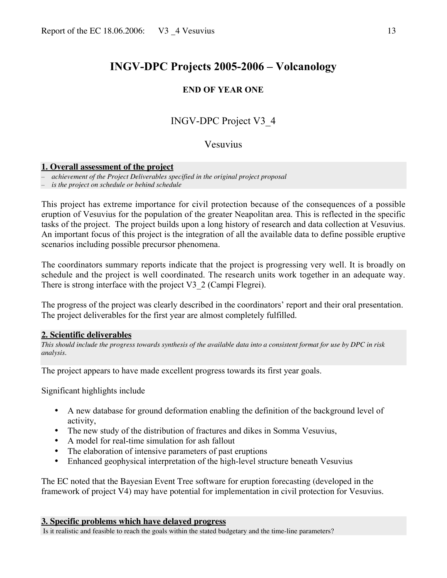## **END OF YEAR ONE**

# INGV-DPC Project V3\_4

## Vesuvius

#### **1. Overall assessment of the project**

– *achievement of the Project Deliverables specified in the original project proposal*

– *is the project on schedule or behind schedule*

This project has extreme importance for civil protection because of the consequences of a possible eruption of Vesuvius for the population of the greater Neapolitan area. This is reflected in the specific tasks of the project. The project builds upon a long history of research and data collection at Vesuvius. An important focus of this project is the integration of all the available data to define possible eruptive scenarios including possible precursor phenomena.

The coordinators summary reports indicate that the project is progressing very well. It is broadly on schedule and the project is well coordinated. The research units work together in an adequate way. There is strong interface with the project V3 2 (Campi Flegrei).

The progress of the project was clearly described in the coordinators' report and their oral presentation. The project deliverables for the first year are almost completely fulfilled.

#### **2. Scientific deliverables**

*This should include the progress towards synthesis of the available data into a consistent format for use by DPC in risk analysis.*

The project appears to have made excellent progress towards its first year goals.

Significant highlights include

- A new database for ground deformation enabling the definition of the background level of activity,
- The new study of the distribution of fractures and dikes in Somma Vesuvius,
- A model for real-time simulation for ash fallout
- The elaboration of intensive parameters of past eruptions
- Enhanced geophysical interpretation of the high-level structure beneath Vesuvius

The EC noted that the Bayesian Event Tree software for eruption forecasting (developed in the framework of project V4) may have potential for implementation in civil protection for Vesuvius.

#### **3. Specific problems which have delayed progress**

Is it realistic and feasible to reach the goals within the stated budgetary and the time-line parameters?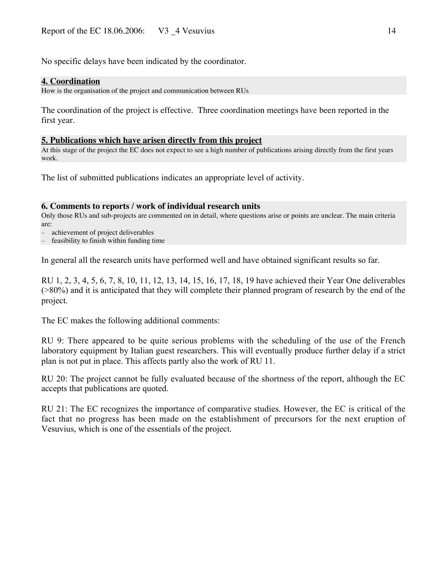No specific delays have been indicated by the coordinator.

#### **4. Coordination**

How is the organisation of the project and communication between RUs

The coordination of the project is effective. Three coordination meetings have been reported in the first year.

#### **5. Publications which have arisen directly from this project**

At this stage of the project the EC does not expect to see a high number of publications arising directly from the first years work.

The list of submitted publications indicates an appropriate level of activity.

#### **6. Comments to reports / work of individual research units**

Only those RUs and sub-projects are commented on in detail, where questions arise or points are unclear. The main criteria are:

– achievement of project deliverables

– feasibility to finish within funding time

In general all the research units have performed well and have obtained significant results so far.

RU 1, 2, 3, 4, 5, 6, 7, 8, 10, 11, 12, 13, 14, 15, 16, 17, 18, 19 have achieved their Year One deliverables (>80%) and it is anticipated that they will complete their planned program of research by the end of the project.

The EC makes the following additional comments:

RU 9: There appeared to be quite serious problems with the scheduling of the use of the French laboratory equipment by Italian guest researchers. This will eventually produce further delay if a strict plan is not put in place. This affects partly also the work of RU 11.

RU 20: The project cannot be fully evaluated because of the shortness of the report, although the EC accepts that publications are quoted.

RU 21: The EC recognizes the importance of comparative studies. However, the EC is critical of the fact that no progress has been made on the establishment of precursors for the next eruption of Vesuvius, which is one of the essentials of the project.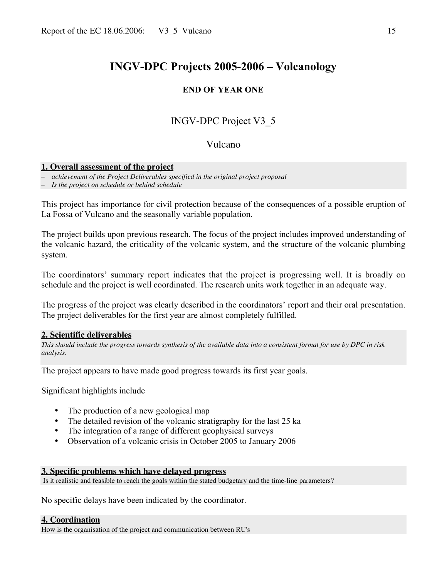### **END OF YEAR ONE**

# INGV-DPC Project V3\_5

## Vulcano

#### **1. Overall assessment of the project**

– *achievement of the Project Deliverables specified in the original project proposal*

– *Is the project on schedule or behind schedule*

This project has importance for civil protection because of the consequences of a possible eruption of La Fossa of Vulcano and the seasonally variable population.

The project builds upon previous research. The focus of the project includes improved understanding of the volcanic hazard, the criticality of the volcanic system, and the structure of the volcanic plumbing system.

The coordinators' summary report indicates that the project is progressing well. It is broadly on schedule and the project is well coordinated. The research units work together in an adequate way.

The progress of the project was clearly described in the coordinators' report and their oral presentation. The project deliverables for the first year are almost completely fulfilled.

#### **2. Scientific deliverables**

*This should include the progress towards synthesis of the available data into a consistent format for use by DPC in risk analysis.*

The project appears to have made good progress towards its first year goals.

### Significant highlights include

- The production of a new geological map
- The detailed revision of the volcanic stratigraphy for the last 25 ka
- The integration of a range of different geophysical surveys
- Observation of a volcanic crisis in October 2005 to January 2006

#### **3. Specific problems which have delayed progress**

Is it realistic and feasible to reach the goals within the stated budgetary and the time-line parameters?

No specific delays have been indicated by the coordinator.

#### **4. Coordination**

How is the organisation of the project and communication between RU's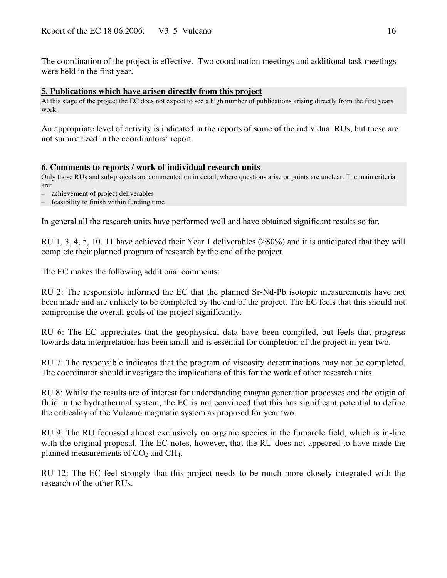The coordination of the project is effective. Two coordination meetings and additional task meetings were held in the first year.

#### **5. Publications which have arisen directly from this project**

At this stage of the project the EC does not expect to see a high number of publications arising directly from the first years work.

An appropriate level of activity is indicated in the reports of some of the individual RUs, but these are not summarized in the coordinators' report.

#### **6. Comments to reports / work of individual research units**

Only those RUs and sub-projects are commented on in detail, where questions arise or points are unclear. The main criteria are:

– achievement of project deliverables

feasibility to finish within funding time

In general all the research units have performed well and have obtained significant results so far.

RU 1, 3, 4, 5, 10, 11 have achieved their Year 1 deliverables (>80%) and it is anticipated that they will complete their planned program of research by the end of the project.

The EC makes the following additional comments:

RU 2: The responsible informed the EC that the planned Sr-Nd-Pb isotopic measurements have not been made and are unlikely to be completed by the end of the project. The EC feels that this should not compromise the overall goals of the project significantly.

RU 6: The EC appreciates that the geophysical data have been compiled, but feels that progress towards data interpretation has been small and is essential for completion of the project in year two.

RU 7: The responsible indicates that the program of viscosity determinations may not be completed. The coordinator should investigate the implications of this for the work of other research units.

RU 8: Whilst the results are of interest for understanding magma generation processes and the origin of fluid in the hydrothermal system, the EC is not convinced that this has significant potential to define the criticality of the Vulcano magmatic system as proposed for year two.

RU 9: The RU focussed almost exclusively on organic species in the fumarole field, which is in-line with the original proposal. The EC notes, however, that the RU does not appeared to have made the planned measurements of  $CO<sub>2</sub>$  and  $CH<sub>4</sub>$ .

RU 12: The EC feel strongly that this project needs to be much more closely integrated with the research of the other RUs.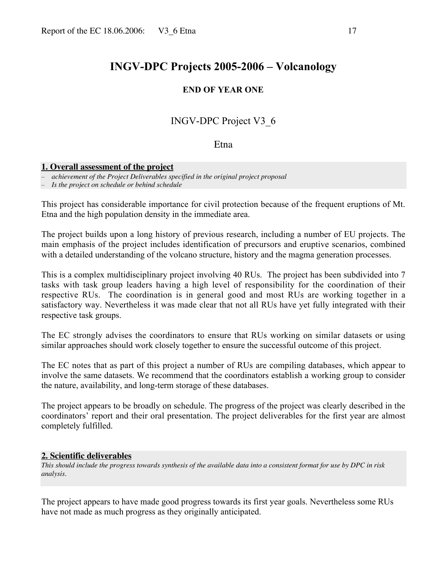### **END OF YEAR ONE**

# INGV-DPC Project V3\_6

## Etna

#### **1. Overall assessment of the project**

– *achievement of the Project Deliverables specified in the original project proposal*

– *Is the project on schedule or behind schedule*

This project has considerable importance for civil protection because of the frequent eruptions of Mt. Etna and the high population density in the immediate area.

The project builds upon a long history of previous research, including a number of EU projects. The main emphasis of the project includes identification of precursors and eruptive scenarios, combined with a detailed understanding of the volcano structure, history and the magma generation processes.

This is a complex multidisciplinary project involving 40 RUs. The project has been subdivided into 7 tasks with task group leaders having a high level of responsibility for the coordination of their respective RUs. The coordination is in general good and most RUs are working together in a satisfactory way. Nevertheless it was made clear that not all RUs have yet fully integrated with their respective task groups.

The EC strongly advises the coordinators to ensure that RUs working on similar datasets or using similar approaches should work closely together to ensure the successful outcome of this project.

The EC notes that as part of this project a number of RUs are compiling databases, which appear to involve the same datasets. We recommend that the coordinators establish a working group to consider the nature, availability, and long-term storage of these databases.

The project appears to be broadly on schedule. The progress of the project was clearly described in the coordinators' report and their oral presentation. The project deliverables for the first year are almost completely fulfilled.

#### **2. Scientific deliverables**

*This should include the progress towards synthesis of the available data into a consistent format for use by DPC in risk analysis.*

The project appears to have made good progress towards its first year goals. Nevertheless some RUs have not made as much progress as they originally anticipated.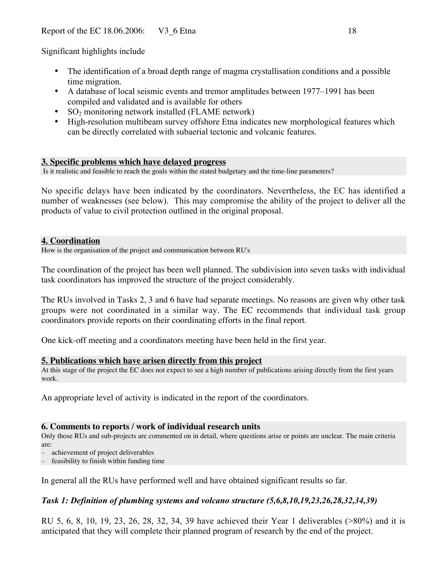Significant highlights include

- The identification of a broad depth range of magma crystallisation conditions and a possible time migration.
- A database of local seismic events and tremor amplitudes between 1977–1991 has been compiled and validated and is available for others
- $SO<sub>2</sub>$  monitoring network installed (FLAME network)
- High-resolution multibeam survey offshore Etna indicates new morphological features which can be directly correlated with subaerial tectonic and volcanic features.

### **3. Specific problems which have delayed progress**

Is it realistic and feasible to reach the goals within the stated budgetary and the time-line parameters?

No specific delays have been indicated by the coordinators. Nevertheless, the EC has identified a number of weaknesses (see below). This may compromise the ability of the project to deliver all the products of value to civil protection outlined in the original proposal.

#### **4. Coordination**

How is the organisation of the project and communication between RU's

The coordination of the project has been well planned. The subdivision into seven tasks with individual task coordinators has improved the structure of the project considerably.

The RUs involved in Tasks 2, 3 and 6 have had separate meetings. No reasons are given why other task groups were not coordinated in a similar way. The EC recommends that individual task group coordinators provide reports on their coordinating efforts in the final report.

One kick-off meeting and a coordinators meeting have been held in the first year.

#### **5. Publications which have arisen directly from this project**

At this stage of the project the EC does not expect to see a high number of publications arising directly from the first years work.

An appropriate level of activity is indicated in the report of the coordinators.

#### **6. Comments to reports / work of individual research units**

Only those RUs and sub-projects are commented on in detail, where questions arise or points are unclear. The main criteria are:

– achievement of project deliverables

– feasibility to finish within funding time

In general all the RUs have performed well and have obtained significant results so far.

## *Task 1: Definition of plumbing systems and volcano structure (5,6,8,10,19,23,26,28,32,34,39)*

RU 5, 6, 8, 10, 19, 23, 26, 28, 32, 34, 39 have achieved their Year 1 deliverables (>80%) and it is anticipated that they will complete their planned program of research by the end of the project.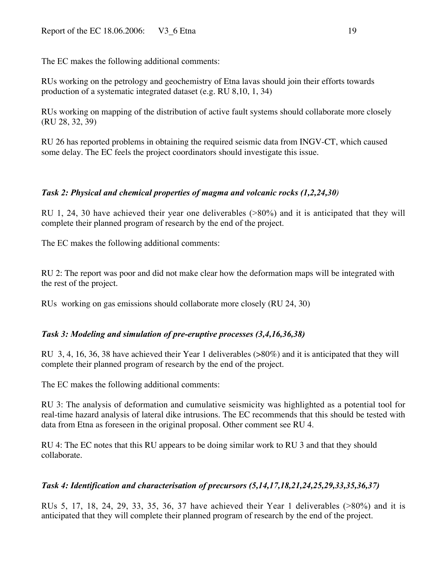The EC makes the following additional comments:

RUs working on the petrology and geochemistry of Etna lavas should join their efforts towards production of a systematic integrated dataset (e.g. RU 8,10, 1, 34)

RUs working on mapping of the distribution of active fault systems should collaborate more closely (RU 28, 32, 39)

RU 26 has reported problems in obtaining the required seismic data from INGV-CT, which caused some delay. The EC feels the project coordinators should investigate this issue.

## *Task 2: Physical and chemical properties of magma and volcanic rocks (1,2,24,30)*

RU 1, 24, 30 have achieved their year one deliverables (>80%) and it is anticipated that they will complete their planned program of research by the end of the project.

The EC makes the following additional comments:

RU 2: The report was poor and did not make clear how the deformation maps will be integrated with the rest of the project.

RUs working on gas emissions should collaborate more closely (RU 24, 30)

## *Task 3: Modeling and simulation of pre-eruptive processes (3,4,16,36,38)*

RU 3, 4, 16, 36, 38 have achieved their Year 1 deliverables (>80%) and it is anticipated that they will complete their planned program of research by the end of the project.

The EC makes the following additional comments:

RU 3: The analysis of deformation and cumulative seismicity was highlighted as a potential tool for real-time hazard analysis of lateral dike intrusions. The EC recommends that this should be tested with data from Etna as foreseen in the original proposal. Other comment see RU 4.

RU 4: The EC notes that this RU appears to be doing similar work to RU 3 and that they should collaborate.

## *Task 4: Identification and characterisation of precursors (5,14,17,18,21,24,25,29,33,35,36,37)*

RUs 5, 17, 18, 24, 29, 33, 35, 36, 37 have achieved their Year 1 deliverables (>80%) and it is anticipated that they will complete their planned program of research by the end of the project.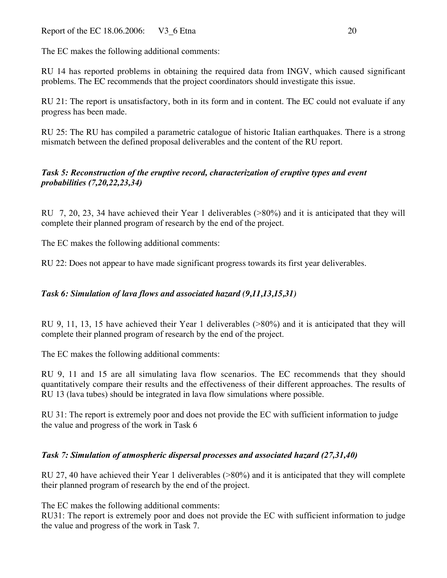The EC makes the following additional comments:

RU 14 has reported problems in obtaining the required data from INGV, which caused significant problems. The EC recommends that the project coordinators should investigate this issue.

RU 21: The report is unsatisfactory, both in its form and in content. The EC could not evaluate if any progress has been made.

RU 25: The RU has compiled a parametric catalogue of historic Italian earthquakes. There is a strong mismatch between the defined proposal deliverables and the content of the RU report.

## *Task 5: Reconstruction of the eruptive record, characterization of eruptive types and event probabilities (7,20,22,23,34)*

RU 7, 20, 23, 34 have achieved their Year 1 deliverables (>80%) and it is anticipated that they will complete their planned program of research by the end of the project.

The EC makes the following additional comments:

RU 22: Does not appear to have made significant progress towards its first year deliverables.

## *Task 6: Simulation of lava flows and associated hazard (9,11,13,15,31)*

RU 9, 11, 13, 15 have achieved their Year 1 deliverables (>80%) and it is anticipated that they will complete their planned program of research by the end of the project.

The EC makes the following additional comments:

RU 9, 11 and 15 are all simulating lava flow scenarios. The EC recommends that they should quantitatively compare their results and the effectiveness of their different approaches. The results of RU 13 (lava tubes) should be integrated in lava flow simulations where possible.

RU 31: The report is extremely poor and does not provide the EC with sufficient information to judge the value and progress of the work in Task 6

## *Task 7: Simulation of atmospheric dispersal processes and associated hazard (27,31,40)*

RU 27, 40 have achieved their Year 1 deliverables (>80%) and it is anticipated that they will complete their planned program of research by the end of the project.

The EC makes the following additional comments:

RU31: The report is extremely poor and does not provide the EC with sufficient information to judge the value and progress of the work in Task 7.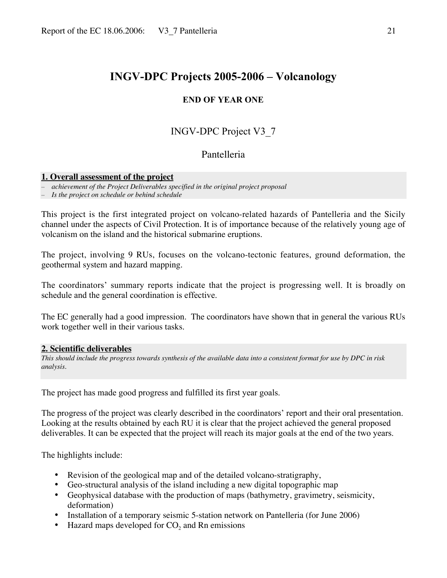## **END OF YEAR ONE**

# INGV-DPC Project V3\_7

## Pantelleria

#### **1. Overall assessment of the project**

– *achievement of the Project Deliverables specified in the original project proposal*

– *Is the project on schedule or behind schedule*

This project is the first integrated project on volcano-related hazards of Pantelleria and the Sicily channel under the aspects of Civil Protection. It is of importance because of the relatively young age of volcanism on the island and the historical submarine eruptions.

The project, involving 9 RUs, focuses on the volcano-tectonic features, ground deformation, the geothermal system and hazard mapping.

The coordinators' summary reports indicate that the project is progressing well. It is broadly on schedule and the general coordination is effective.

The EC generally had a good impression. The coordinators have shown that in general the various RUs work together well in their various tasks.

#### **2. Scientific deliverables**

*This should include the progress towards synthesis of the available data into a consistent format for use by DPC in risk analysis.*

The project has made good progress and fulfilled its first year goals.

The progress of the project was clearly described in the coordinators' report and their oral presentation. Looking at the results obtained by each RU it is clear that the project achieved the general proposed deliverables. It can be expected that the project will reach its major goals at the end of the two years.

The highlights include:

- Revision of the geological map and of the detailed volcano-stratigraphy,
- Geo-structural analysis of the island including a new digital topographic map
- Geophysical database with the production of maps (bathymetry, gravimetry, seismicity, deformation)
- Installation of a temporary seismic 5-station network on Pantelleria (for June 2006)
- Hazard maps developed for  $CO<sub>2</sub>$  and Rn emissions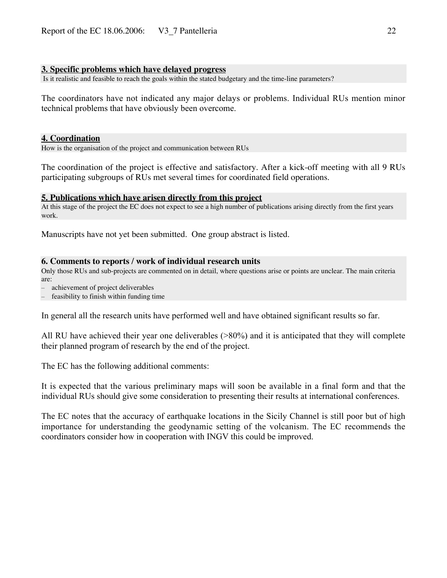#### **3. Specific problems which have delayed progress**

Is it realistic and feasible to reach the goals within the stated budgetary and the time-line parameters?

The coordinators have not indicated any major delays or problems. Individual RUs mention minor technical problems that have obviously been overcome.

#### **4. Coordination**

How is the organisation of the project and communication between RUs

The coordination of the project is effective and satisfactory. After a kick-off meeting with all 9 RUs participating subgroups of RUs met several times for coordinated field operations.

#### **5. Publications which have arisen directly from this project**

At this stage of the project the EC does not expect to see a high number of publications arising directly from the first years work.

Manuscripts have not yet been submitted. One group abstract is listed.

#### **6. Comments to reports / work of individual research units**

Only those RUs and sub-projects are commented on in detail, where questions arise or points are unclear. The main criteria are:

– achievement of project deliverables

– feasibility to finish within funding time

In general all the research units have performed well and have obtained significant results so far.

All RU have achieved their year one deliverables (>80%) and it is anticipated that they will complete their planned program of research by the end of the project.

The EC has the following additional comments:

It is expected that the various preliminary maps will soon be available in a final form and that the individual RUs should give some consideration to presenting their results at international conferences.

The EC notes that the accuracy of earthquake locations in the Sicily Channel is still poor but of high importance for understanding the geodynamic setting of the volcanism. The EC recommends the coordinators consider how in cooperation with INGV this could be improved.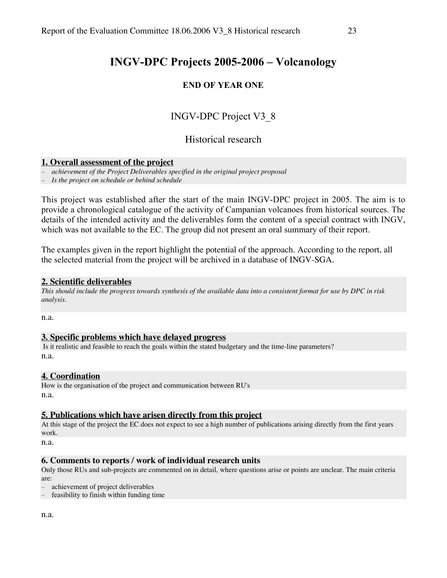## **END OF YEAR ONE**

# INGV-DPC Project V3\_8

## Historical research

#### **1. Overall assessment of the project**

– *achievement of the Project Deliverables specified in the original project proposal*

– *Is the project on schedule or behind schedule*

This project was established after the start of the main INGV-DPC project in 2005. The aim is to provide a chronological catalogue of the activity of Campanian volcanoes from historical sources. The details of the intended activity and the deliverables form the content of a special contract with INGV, which was not available to the EC. The group did not present an oral summary of their report.

The examples given in the report highlight the potential of the approach. According to the report, all the selected material from the project will be archived in a database of INGV-SGA.

#### **2. Scientific deliverables**

*This should include the progress towards synthesis of the available data into a consistent format for use by DPC in risk analysis.*

n.a.

#### **3. Specific problems which have delayed progress**

 Is it realistic and feasible to reach the goals within the stated budgetary and the time-line parameters? n.a.

#### **4. Coordination**

How is the organisation of the project and communication between RU's n.a.

#### **5. Publications which have arisen directly from this project**

At this stage of the project the EC does not expect to see a high number of publications arising directly from the first years work.

n.a.

#### **6. Comments to reports / work of individual research units**

Only those RUs and sub-projects are commented on in detail, where questions arise or points are unclear. The main criteria are:

– achievement of project deliverables

– feasibility to finish within funding time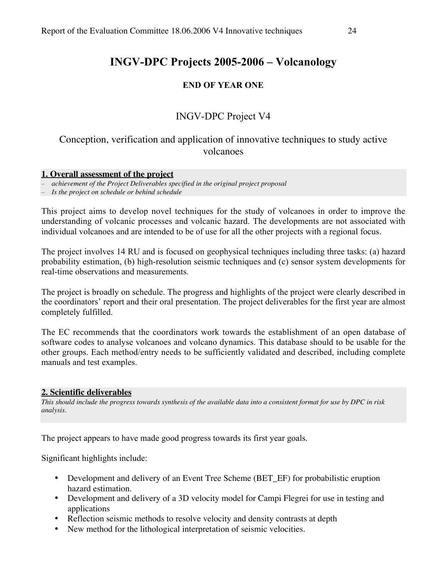## **END OF YEAR ONE**

## INGV-DPC Project V4

# Conception, verification and application of innovative techniques to study active volcanoes

#### **1. Overall assessment of the project**

– *achievement of the Project Deliverables specified in the original project proposal*

– *Is the project on schedule or behind schedule*

This project aims to develop novel techniques for the study of volcanoes in order to improve the understanding of volcanic processes and volcanic hazard. The developments are not associated with individual volcanoes and are intended to be of use for all the other projects with a regional focus.

The project involves 14 RU and is focused on geophysical techniques including three tasks: (a) hazard probability estimation, (b) high-resolution seismic techniques and (c) sensor system developments for real-time observations and measurements.

The project is broadly on schedule. The progress and highlights of the project were clearly described in the coordinators' report and their oral presentation. The project deliverables for the first year are almost completely fulfilled.

The EC recommends that the coordinators work towards the establishment of an open database of software codes to analyse volcanoes and volcano dynamics. This database should to be usable for the other groups. Each method/entry needs to be sufficiently validated and described, including complete manuals and test examples.

#### **2. Scientific deliverables**

*This should include the progress towards synthesis of the available data into a consistent format for use by DPC in risk analysis.*

The project appears to have made good progress towards its first year goals.

Significant highlights include:

- Development and delivery of an Event Tree Scheme (BET\_EF) for probabilistic eruption hazard estimation.
- Development and delivery of a 3D velocity model for Campi Flegrei for use in testing and applications
- Reflection seismic methods to resolve velocity and density contrasts at depth
- New method for the lithological interpretation of seismic velocities.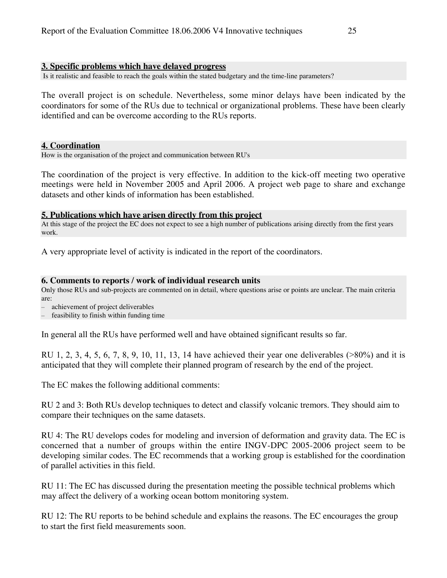#### **3. Specific problems which have delayed progress**

Is it realistic and feasible to reach the goals within the stated budgetary and the time-line parameters?

The overall project is on schedule. Nevertheless, some minor delays have been indicated by the coordinators for some of the RUs due to technical or organizational problems. These have been clearly identified and can be overcome according to the RUs reports.

#### **4. Coordination**

How is the organisation of the project and communication between RU's

The coordination of the project is very effective. In addition to the kick-off meeting two operative meetings were held in November 2005 and April 2006. A project web page to share and exchange datasets and other kinds of information has been established.

#### **5. Publications which have arisen directly from this project**

At this stage of the project the EC does not expect to see a high number of publications arising directly from the first years work.

A very appropriate level of activity is indicated in the report of the coordinators.

#### **6. Comments to reports / work of individual research units**

Only those RUs and sub-projects are commented on in detail, where questions arise or points are unclear. The main criteria are:

– achievement of project deliverables

feasibility to finish within funding time

In general all the RUs have performed well and have obtained significant results so far.

RU 1, 2, 3, 4, 5, 6, 7, 8, 9, 10, 11, 13, 14 have achieved their year one deliverables (>80%) and it is anticipated that they will complete their planned program of research by the end of the project.

The EC makes the following additional comments:

RU 2 and 3: Both RUs develop techniques to detect and classify volcanic tremors. They should aim to compare their techniques on the same datasets.

RU 4: The RU develops codes for modeling and inversion of deformation and gravity data. The EC is concerned that a number of groups within the entire INGV-DPC 2005-2006 project seem to be developing similar codes. The EC recommends that a working group is established for the coordination of parallel activities in this field.

RU 11: The EC has discussed during the presentation meeting the possible technical problems which may affect the delivery of a working ocean bottom monitoring system.

RU 12: The RU reports to be behind schedule and explains the reasons. The EC encourages the group to start the first field measurements soon.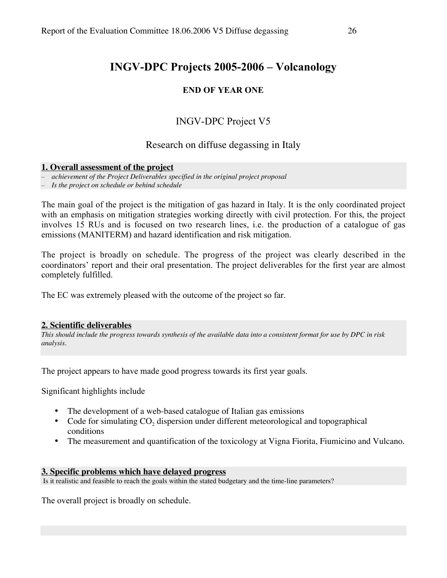## **END OF YEAR ONE**

# INGV-DPC Project V5

## Research on diffuse degassing in Italy

#### **1. Overall assessment of the project**

– *achievement of the Project Deliverables specified in the original project proposal*

– *Is the project on schedule or behind schedule*

The main goal of the project is the mitigation of gas hazard in Italy. It is the only coordinated project with an emphasis on mitigation strategies working directly with civil protection. For this, the project involves 15 RUs and is focused on two research lines, i.e. the production of a catalogue of gas emissions (MANITERM) and hazard identification and risk mitigation.

The project is broadly on schedule. The progress of the project was clearly described in the coordinators' report and their oral presentation. The project deliverables for the first year are almost completely fulfilled.

The EC was extremely pleased with the outcome of the project so far.

#### **2. Scientific deliverables**

*This should include the progress towards synthesis of the available data into a consistent format for use by DPC in risk analysis.*

The project appears to have made good progress towards its first year goals.

Significant highlights include

- The development of a web-based catalogue of Italian gas emissions
- Code for simulating  $CO<sub>2</sub>$  dispersion under different meteorological and topographical conditions
- The measurement and quantification of the toxicology at Vigna Fiorita, Fiumicino and Vulcano.

#### **3. Specific problems which have delayed progress**

Is it realistic and feasible to reach the goals within the stated budgetary and the time-line parameters?

The overall project is broadly on schedule.